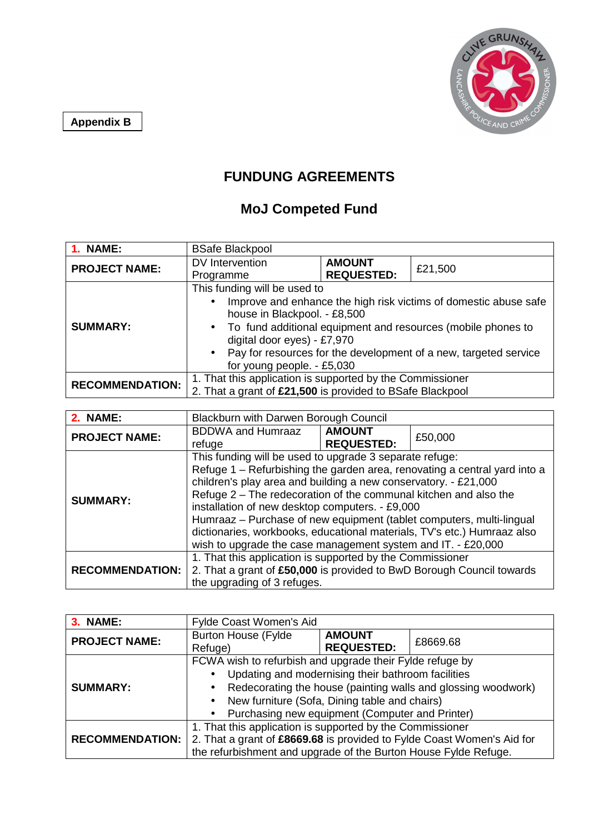**Appendix B**



## **FUNDUNG AGREEMENTS**

## **MoJ Competed Fund**

| 1. NAME:               | <b>BSafe Blackpool</b>                                                                                                                                                                                                                                                                                                                             |                                    |         |
|------------------------|----------------------------------------------------------------------------------------------------------------------------------------------------------------------------------------------------------------------------------------------------------------------------------------------------------------------------------------------------|------------------------------------|---------|
| <b>PROJECT NAME:</b>   | DV Intervention<br>Programme                                                                                                                                                                                                                                                                                                                       | <b>AMOUNT</b><br><b>REQUESTED:</b> | £21,500 |
| <b>SUMMARY:</b>        | This funding will be used to<br>Improve and enhance the high risk victims of domestic abuse safe<br>$\bullet$<br>house in Blackpool. - £8,500<br>• To fund additional equipment and resources (mobile phones to<br>digital door eyes) - £7,970<br>• Pay for resources for the development of a new, targeted service<br>for young people. - £5,030 |                                    |         |
| <b>RECOMMENDATION:</b> | 1. That this application is supported by the Commissioner<br>2. That a grant of £21,500 is provided to BSafe Blackpool                                                                                                                                                                                                                             |                                    |         |

| 2. NAME:               | Blackburn with Darwen Borough Council                                                                                                                                                                                                                                                                                                                                                                                                                                             |                                    |         |
|------------------------|-----------------------------------------------------------------------------------------------------------------------------------------------------------------------------------------------------------------------------------------------------------------------------------------------------------------------------------------------------------------------------------------------------------------------------------------------------------------------------------|------------------------------------|---------|
| <b>PROJECT NAME:</b>   | <b>BDDWA and Humraaz</b><br>refuge                                                                                                                                                                                                                                                                                                                                                                                                                                                | <b>AMOUNT</b><br><b>REQUESTED:</b> | £50,000 |
| <b>SUMMARY:</b>        | This funding will be used to upgrade 3 separate refuge:<br>Refuge 1 – Refurbishing the garden area, renovating a central yard into a<br>children's play area and building a new conservatory. - £21,000<br>Refuge 2 – The redecoration of the communal kitchen and also the<br>installation of new desktop computers. - £9,000<br>Humraaz - Purchase of new equipment (tablet computers, multi-lingual<br>dictionaries, workbooks, educational materials, TV's etc.) Humraaz also |                                    |         |
| <b>RECOMMENDATION:</b> | wish to upgrade the case management system and IT. - £20,000<br>1. That this application is supported by the Commissioner<br>2. That a grant of £50,000 is provided to BwD Borough Council towards<br>the upgrading of 3 refuges.                                                                                                                                                                                                                                                 |                                    |         |

| 3. NAME:               | Fylde Coast Women's Aid                                                                                                                                                                                                                                                                                                    |                                    |          |
|------------------------|----------------------------------------------------------------------------------------------------------------------------------------------------------------------------------------------------------------------------------------------------------------------------------------------------------------------------|------------------------------------|----------|
| <b>PROJECT NAME:</b>   | <b>Burton House (Fylde</b><br>Refuge)                                                                                                                                                                                                                                                                                      | <b>AMOUNT</b><br><b>REQUESTED:</b> | £8669.68 |
| <b>SUMMARY:</b>        | FCWA wish to refurbish and upgrade their Fylde refuge by<br>Updating and modernising their bathroom facilities<br>Redecorating the house (painting walls and glossing woodwork)<br>$\bullet$<br>New furniture (Sofa, Dining table and chairs)<br>$\bullet$<br>Purchasing new equipment (Computer and Printer)<br>$\bullet$ |                                    |          |
| <b>RECOMMENDATION:</b> | 1. That this application is supported by the Commissioner<br>2. That a grant of £8669.68 is provided to Fylde Coast Women's Aid for<br>the refurbishment and upgrade of the Burton House Fylde Refuge.                                                                                                                     |                                    |          |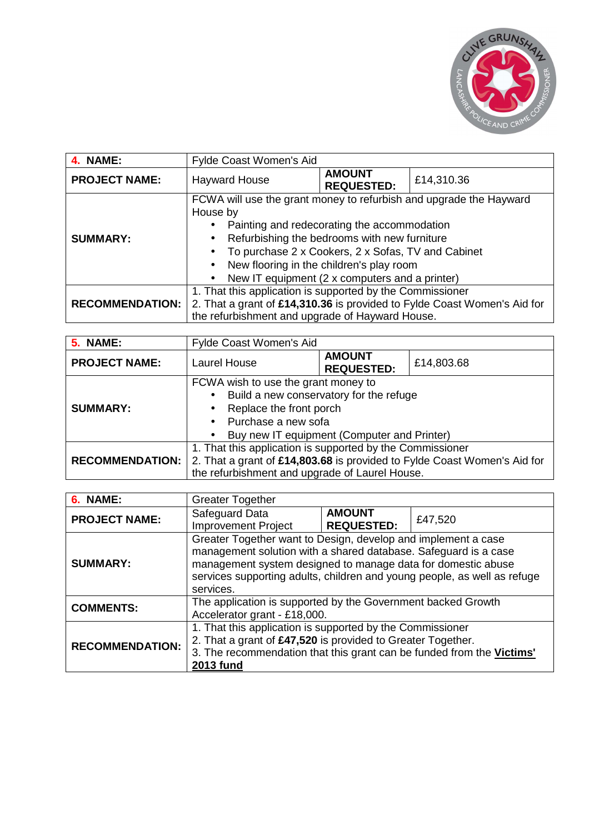

| 4. NAME:               | Fylde Coast Women's Aid                                                                                                                                                                                                                                                                                                                                     |                                    |            |
|------------------------|-------------------------------------------------------------------------------------------------------------------------------------------------------------------------------------------------------------------------------------------------------------------------------------------------------------------------------------------------------------|------------------------------------|------------|
| <b>PROJECT NAME:</b>   | <b>Hayward House</b>                                                                                                                                                                                                                                                                                                                                        | <b>AMOUNT</b><br><b>REQUESTED:</b> | £14,310.36 |
| <b>SUMMARY:</b>        | FCWA will use the grant money to refurbish and upgrade the Hayward<br>House by<br>Painting and redecorating the accommodation<br>Refurbishing the bedrooms with new furniture<br>$\bullet$<br>To purchase 2 x Cookers, 2 x Sofas, TV and Cabinet<br>$\bullet$<br>New flooring in the children's play room<br>New IT equipment (2 x computers and a printer) |                                    |            |
| <b>RECOMMENDATION:</b> | 1. That this application is supported by the Commissioner<br>2. That a grant of £14,310.36 is provided to Fylde Coast Women's Aid for<br>the refurbishment and upgrade of Hayward House.                                                                                                                                                                    |                                    |            |

| <b>5. NAME:</b>        | Fylde Coast Women's Aid                                                                                                                                                                                                             |                                    |            |
|------------------------|-------------------------------------------------------------------------------------------------------------------------------------------------------------------------------------------------------------------------------------|------------------------------------|------------|
| <b>PROJECT NAME:</b>   | <b>Laurel House</b>                                                                                                                                                                                                                 | <b>AMOUNT</b><br><b>REQUESTED:</b> | £14,803.68 |
| <b>SUMMARY:</b>        | FCWA wish to use the grant money to<br>Build a new conservatory for the refuge<br>$\bullet$<br>Replace the front porch<br>$\bullet$<br>Purchase a new sofa<br>$\bullet$<br>Buy new IT equipment (Computer and Printer)<br>$\bullet$ |                                    |            |
| <b>RECOMMENDATION:</b> | 1. That this application is supported by the Commissioner<br>2. That a grant of £14,803.68 is provided to Fylde Coast Women's Aid for<br>the refurbishment and upgrade of Laurel House.                                             |                                    |            |

| 6. NAME:               | <b>Greater Together</b>                                                                                                                                                                                                                                                                   |                                    |         |
|------------------------|-------------------------------------------------------------------------------------------------------------------------------------------------------------------------------------------------------------------------------------------------------------------------------------------|------------------------------------|---------|
| <b>PROJECT NAME:</b>   | Safeguard Data<br><b>Improvement Project</b>                                                                                                                                                                                                                                              | <b>AMOUNT</b><br><b>REQUESTED:</b> | £47,520 |
| <b>SUMMARY:</b>        | Greater Together want to Design, develop and implement a case<br>management solution with a shared database. Safeguard is a case<br>management system designed to manage data for domestic abuse<br>services supporting adults, children and young people, as well as refuge<br>services. |                                    |         |
| <b>COMMENTS:</b>       | The application is supported by the Government backed Growth<br>Accelerator grant - £18,000.                                                                                                                                                                                              |                                    |         |
| <b>RECOMMENDATION:</b> | 1. That this application is supported by the Commissioner<br>2. That a grant of £47,520 is provided to Greater Together.<br>3. The recommendation that this grant can be funded from the Victims'<br><b>2013 fund</b>                                                                     |                                    |         |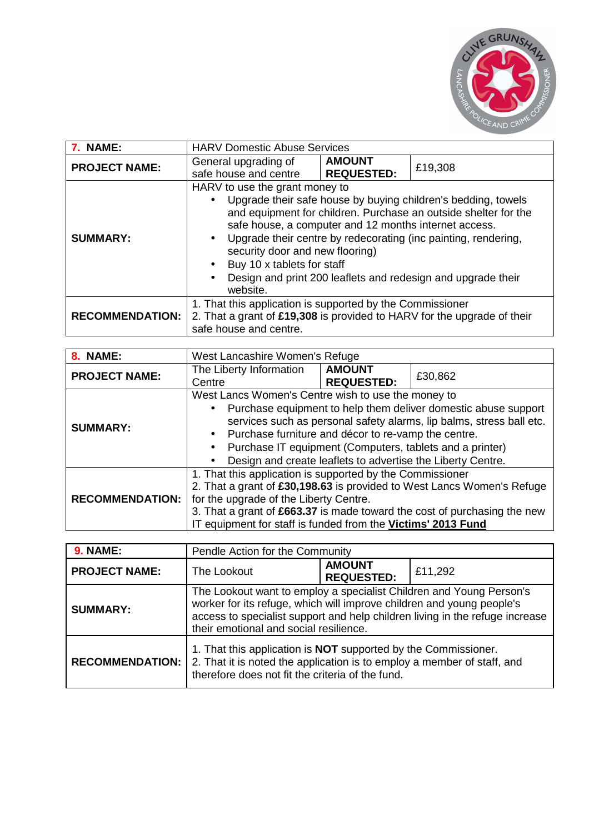

| 7. NAME:               | <b>HARV Domestic Abuse Services</b>                                                                                                                                                                                                                                                                                                                                                                                                                                               |                                    |         |
|------------------------|-----------------------------------------------------------------------------------------------------------------------------------------------------------------------------------------------------------------------------------------------------------------------------------------------------------------------------------------------------------------------------------------------------------------------------------------------------------------------------------|------------------------------------|---------|
| <b>PROJECT NAME:</b>   | General upgrading of<br>safe house and centre                                                                                                                                                                                                                                                                                                                                                                                                                                     | <b>AMOUNT</b><br><b>REQUESTED:</b> | £19,308 |
| <b>SUMMARY:</b>        | HARV to use the grant money to<br>Upgrade their safe house by buying children's bedding, towels<br>and equipment for children. Purchase an outside shelter for the<br>safe house, a computer and 12 months internet access.<br>Upgrade their centre by redecorating (inc painting, rendering,<br>$\bullet$<br>security door and new flooring)<br>Buy 10 x tablets for staff<br>$\bullet$<br>Design and print 200 leaflets and redesign and upgrade their<br>$\bullet$<br>website. |                                    |         |
| <b>RECOMMENDATION:</b> | 1. That this application is supported by the Commissioner<br>2. That a grant of £19,308 is provided to HARV for the upgrade of their<br>safe house and centre.                                                                                                                                                                                                                                                                                                                    |                                    |         |

| 8. NAME:               | West Lancashire Women's Refuge                                                                                                                                                                                                                                                                                                                                                                                |                                    |         |
|------------------------|---------------------------------------------------------------------------------------------------------------------------------------------------------------------------------------------------------------------------------------------------------------------------------------------------------------------------------------------------------------------------------------------------------------|------------------------------------|---------|
| <b>PROJECT NAME:</b>   | The Liberty Information<br>Centre                                                                                                                                                                                                                                                                                                                                                                             | <b>AMOUNT</b><br><b>REQUESTED:</b> | £30,862 |
| <b>SUMMARY:</b>        | West Lancs Women's Centre wish to use the money to<br>Purchase equipment to help them deliver domestic abuse support<br>٠<br>services such as personal safety alarms, lip balms, stress ball etc.<br>Purchase furniture and décor to re-vamp the centre.<br>$\bullet$<br>Purchase IT equipment (Computers, tablets and a printer)<br>$\bullet$<br>Design and create leaflets to advertise the Liberty Centre. |                                    |         |
| <b>RECOMMENDATION:</b> | 1. That this application is supported by the Commissioner<br>2. That a grant of £30,198.63 is provided to West Lancs Women's Refuge<br>for the upgrade of the Liberty Centre.<br>3. That a grant of £663.37 is made toward the cost of purchasing the new<br>IT equipment for staff is funded from the Victims' 2013 Fund                                                                                     |                                    |         |

| <b>9. NAME:</b>        | Pendle Action for the Community                                                                                                                                                                                                                                        |  |  |  |
|------------------------|------------------------------------------------------------------------------------------------------------------------------------------------------------------------------------------------------------------------------------------------------------------------|--|--|--|
| <b>PROJECT NAME:</b>   | <b>AMOUNT</b><br>The Lookout<br>£11,292<br><b>REQUESTED:</b>                                                                                                                                                                                                           |  |  |  |
| <b>SUMMARY:</b>        | The Lookout want to employ a specialist Children and Young Person's<br>worker for its refuge, which will improve children and young people's<br>access to specialist support and help children living in the refuge increase<br>their emotional and social resilience. |  |  |  |
| <b>RECOMMENDATION:</b> | 1. That this application is <b>NOT</b> supported by the Commissioner.<br>2. That it is noted the application is to employ a member of staff, and<br>therefore does not fit the criteria of the fund.                                                                   |  |  |  |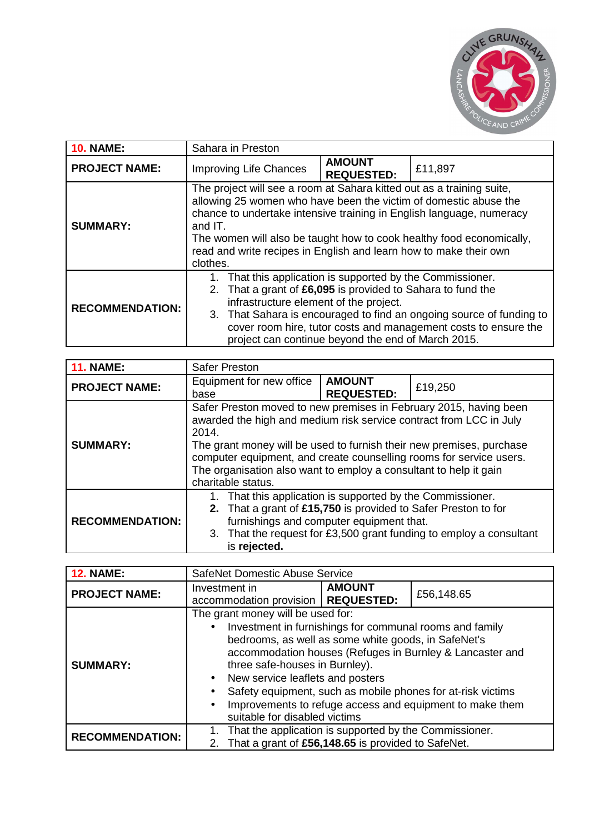

| <b>10. NAME:</b>       | Sahara in Preston                                                                                                                                                                                                                                                                                                                                                                     |                                    |         |
|------------------------|---------------------------------------------------------------------------------------------------------------------------------------------------------------------------------------------------------------------------------------------------------------------------------------------------------------------------------------------------------------------------------------|------------------------------------|---------|
| <b>PROJECT NAME:</b>   | <b>Improving Life Chances</b>                                                                                                                                                                                                                                                                                                                                                         | <b>AMOUNT</b><br><b>REQUESTED:</b> | £11,897 |
| <b>SUMMARY:</b>        | The project will see a room at Sahara kitted out as a training suite,<br>allowing 25 women who have been the victim of domestic abuse the<br>chance to undertake intensive training in English language, numeracy<br>and IT.<br>The women will also be taught how to cook healthy food economically,<br>read and write recipes in English and learn how to make their own<br>clothes. |                                    |         |
| <b>RECOMMENDATION:</b> | 1. That this application is supported by the Commissioner.<br>That a grant of £6,095 is provided to Sahara to fund the<br>2.<br>infrastructure element of the project.<br>3. That Sahara is encouraged to find an ongoing source of funding to<br>cover room hire, tutor costs and management costs to ensure the<br>project can continue beyond the end of March 2015.               |                                    |         |

| <b>11. NAME:</b>       | <b>Safer Preston</b>                                                                                                                                                                                                                                                                                                                                                                       |                                    |         |
|------------------------|--------------------------------------------------------------------------------------------------------------------------------------------------------------------------------------------------------------------------------------------------------------------------------------------------------------------------------------------------------------------------------------------|------------------------------------|---------|
| <b>PROJECT NAME:</b>   | Equipment for new office<br>base                                                                                                                                                                                                                                                                                                                                                           | <b>AMOUNT</b><br><b>REQUESTED:</b> | £19,250 |
| <b>SUMMARY:</b>        | Safer Preston moved to new premises in February 2015, having been<br>awarded the high and medium risk service contract from LCC in July<br>2014.<br>The grant money will be used to furnish their new premises, purchase<br>computer equipment, and create counselling rooms for service users.<br>The organisation also want to employ a consultant to help it gain<br>charitable status. |                                    |         |
| <b>RECOMMENDATION:</b> | That this application is supported by the Commissioner.<br>2. That a grant of £15,750 is provided to Safer Preston to for<br>furnishings and computer equipment that.<br>3. That the request for £3,500 grant funding to employ a consultant<br>is rejected.                                                                                                                               |                                    |         |

| <b>12. NAME:</b>       | SafeNet Domestic Abuse Service                                                                                                                                                                                                                                                                                                                                                                                                                                                                |                                                                                                                 |  |  |
|------------------------|-----------------------------------------------------------------------------------------------------------------------------------------------------------------------------------------------------------------------------------------------------------------------------------------------------------------------------------------------------------------------------------------------------------------------------------------------------------------------------------------------|-----------------------------------------------------------------------------------------------------------------|--|--|
| <b>PROJECT NAME:</b>   | <b>AMOUNT</b><br>Investment in<br>£56,148.65<br>accommodation provision   REQUESTED:                                                                                                                                                                                                                                                                                                                                                                                                          |                                                                                                                 |  |  |
| <b>SUMMARY:</b>        | The grant money will be used for:<br>Investment in furnishings for communal rooms and family<br>$\bullet$<br>bedrooms, as well as some white goods, in SafeNet's<br>accommodation houses (Refuges in Burnley & Lancaster and<br>three safe-houses in Burnley).<br>New service leaflets and posters<br>$\bullet$<br>Safety equipment, such as mobile phones for at-risk victims<br>٠<br>Improvements to refuge access and equipment to make them<br>$\bullet$<br>suitable for disabled victims |                                                                                                                 |  |  |
| <b>RECOMMENDATION:</b> |                                                                                                                                                                                                                                                                                                                                                                                                                                                                                               | That the application is supported by the Commissioner.<br>2. That a grant of £56,148.65 is provided to SafeNet. |  |  |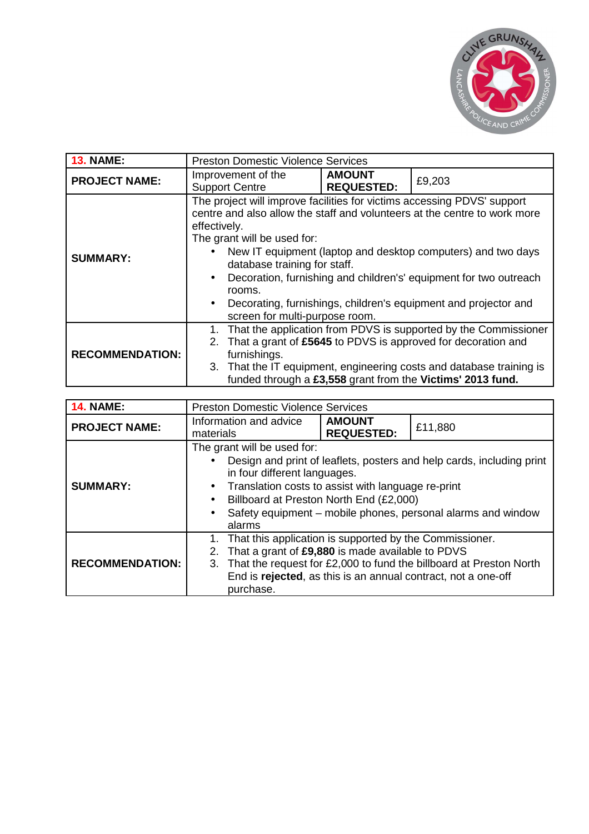

| <b>13. NAME:</b>       | <b>Preston Domestic Violence Services</b>                                                                                                                                                                                                                                                                                                                                                                                                                                                                                      |                                                                                                                                                                                                                                                                       |        |  |
|------------------------|--------------------------------------------------------------------------------------------------------------------------------------------------------------------------------------------------------------------------------------------------------------------------------------------------------------------------------------------------------------------------------------------------------------------------------------------------------------------------------------------------------------------------------|-----------------------------------------------------------------------------------------------------------------------------------------------------------------------------------------------------------------------------------------------------------------------|--------|--|
| <b>PROJECT NAME:</b>   | Improvement of the<br><b>Support Centre</b>                                                                                                                                                                                                                                                                                                                                                                                                                                                                                    | <b>AMOUNT</b><br><b>REQUESTED:</b>                                                                                                                                                                                                                                    | £9,203 |  |
| <b>SUMMARY:</b>        | The project will improve facilities for victims accessing PDVS' support<br>centre and also allow the staff and volunteers at the centre to work more<br>effectively.<br>The grant will be used for:<br>New IT equipment (laptop and desktop computers) and two days<br>$\bullet$<br>database training for staff.<br>Decoration, furnishing and children's' equipment for two outreach<br>$\bullet$<br>rooms.<br>Decorating, furnishings, children's equipment and projector and<br>$\bullet$<br>screen for multi-purpose room. |                                                                                                                                                                                                                                                                       |        |  |
| <b>RECOMMENDATION:</b> | 1.<br>2.<br>furnishings.                                                                                                                                                                                                                                                                                                                                                                                                                                                                                                       | That the application from PDVS is supported by the Commissioner<br>That a grant of £5645 to PDVS is approved for decoration and<br>3. That the IT equipment, engineering costs and database training is<br>funded through a £3,558 grant from the Victims' 2013 fund. |        |  |

| <b>14. NAME:</b>       | <b>Preston Domestic Violence Services</b>                                                                                                                                                                                                                                                                                                              |                                    |         |
|------------------------|--------------------------------------------------------------------------------------------------------------------------------------------------------------------------------------------------------------------------------------------------------------------------------------------------------------------------------------------------------|------------------------------------|---------|
| <b>PROJECT NAME:</b>   | Information and advice<br>materials                                                                                                                                                                                                                                                                                                                    | <b>AMOUNT</b><br><b>REQUESTED:</b> | £11,880 |
| <b>SUMMARY:</b>        | The grant will be used for:<br>Design and print of leaflets, posters and help cards, including print<br>in four different languages.<br>Translation costs to assist with language re-print<br>$\bullet$<br>Billboard at Preston North End (£2,000)<br>$\bullet$<br>Safety equipment - mobile phones, personal alarms and window<br>$\bullet$<br>alarms |                                    |         |
| <b>RECOMMENDATION:</b> | That this application is supported by the Commissioner.<br>That a grant of £9,880 is made available to PDVS<br>2.<br>That the request for £2,000 to fund the billboard at Preston North<br>3.<br>End is rejected, as this is an annual contract, not a one-off<br>purchase.                                                                            |                                    |         |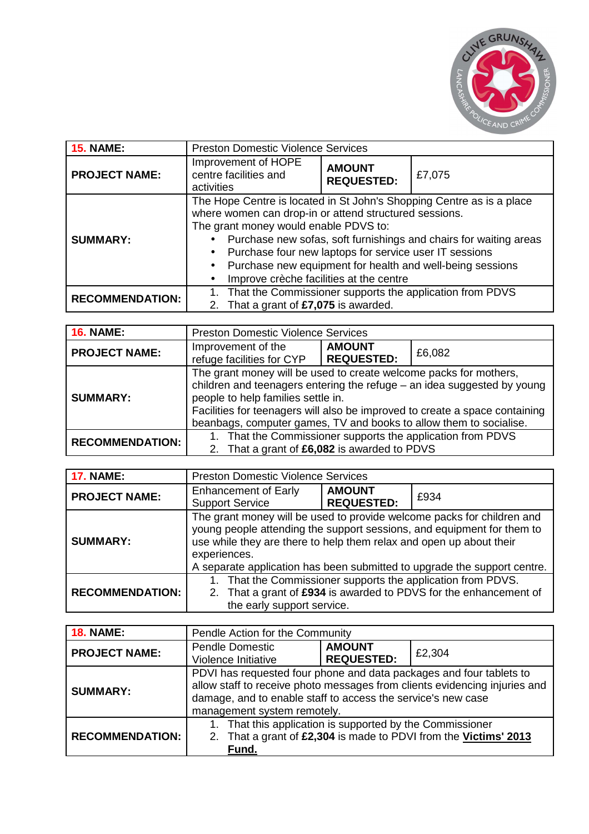

| <b>15. NAME:</b>       | <b>Preston Domestic Violence Services</b>                                                                                                                                                                                                                                                                                                                                                                                                              |  |  |
|------------------------|--------------------------------------------------------------------------------------------------------------------------------------------------------------------------------------------------------------------------------------------------------------------------------------------------------------------------------------------------------------------------------------------------------------------------------------------------------|--|--|
| <b>PROJECT NAME:</b>   | Improvement of HOPE<br><b>AMOUNT</b><br>centre facilities and<br>£7,075<br><b>REQUESTED:</b><br>activities                                                                                                                                                                                                                                                                                                                                             |  |  |
| <b>SUMMARY:</b>        | The Hope Centre is located in St John's Shopping Centre as is a place<br>where women can drop-in or attend structured sessions.<br>The grant money would enable PDVS to:<br>Purchase new sofas, soft furnishings and chairs for waiting areas<br>Purchase four new laptops for service user IT sessions<br>$\bullet$<br>Purchase new equipment for health and well-being sessions<br>$\bullet$<br>Improve crèche facilities at the centre<br>$\bullet$ |  |  |
| <b>RECOMMENDATION:</b> | That the Commissioner supports the application from PDVS<br>2. That a grant of £7,075 is awarded.                                                                                                                                                                                                                                                                                                                                                      |  |  |

| <b>16. NAME:</b>       | <b>Preston Domestic Violence Services</b>                                                                                                                                                                                                                                                                                               |                                    |        |
|------------------------|-----------------------------------------------------------------------------------------------------------------------------------------------------------------------------------------------------------------------------------------------------------------------------------------------------------------------------------------|------------------------------------|--------|
| <b>PROJECT NAME:</b>   | Improvement of the<br>refuge facilities for CYP                                                                                                                                                                                                                                                                                         | <b>AMOUNT</b><br><b>REQUESTED:</b> | £6,082 |
| <b>SUMMARY:</b>        | The grant money will be used to create welcome packs for mothers,<br>children and teenagers entering the refuge - an idea suggested by young<br>people to help families settle in.<br>Facilities for teenagers will also be improved to create a space containing<br>beanbags, computer games, TV and books to allow them to socialise. |                                    |        |
| <b>RECOMMENDATION:</b> | 1. That the Commissioner supports the application from PDVS<br>2. That a grant of £6,082 is awarded to PDVS                                                                                                                                                                                                                             |                                    |        |

| <b>17. NAME:</b>       | <b>Preston Domestic Violence Services</b>                                                                                                                                                                                                                                                                           |                                    |      |
|------------------------|---------------------------------------------------------------------------------------------------------------------------------------------------------------------------------------------------------------------------------------------------------------------------------------------------------------------|------------------------------------|------|
| <b>PROJECT NAME:</b>   | <b>Enhancement of Early</b><br><b>Support Service</b>                                                                                                                                                                                                                                                               | <b>AMOUNT</b><br><b>REQUESTED:</b> | £934 |
| <b>SUMMARY:</b>        | The grant money will be used to provide welcome packs for children and<br>young people attending the support sessions, and equipment for them to<br>use while they are there to help them relax and open up about their<br>experiences.<br>A separate application has been submitted to upgrade the support centre. |                                    |      |
| <b>RECOMMENDATION:</b> | That the Commissioner supports the application from PDVS.<br>2. That a grant of £934 is awarded to PDVS for the enhancement of<br>the early support service.                                                                                                                                                        |                                    |      |

| <b>18. NAME:</b>       | Pendle Action for the Community                                                                                                                                                                                                                  |                                    |        |
|------------------------|--------------------------------------------------------------------------------------------------------------------------------------------------------------------------------------------------------------------------------------------------|------------------------------------|--------|
| <b>PROJECT NAME:</b>   | <b>Pendle Domestic</b><br>Violence Initiative                                                                                                                                                                                                    | <b>AMOUNT</b><br><b>REQUESTED:</b> | £2,304 |
| <b>SUMMARY:</b>        | PDVI has requested four phone and data packages and four tablets to<br>allow staff to receive photo messages from clients evidencing injuries and<br>damage, and to enable staff to access the service's new case<br>management system remotely. |                                    |        |
| <b>RECOMMENDATION:</b> | 1. That this application is supported by the Commissioner<br>2. That a grant of £2,304 is made to PDVI from the Victims' 2013<br>Fund.                                                                                                           |                                    |        |